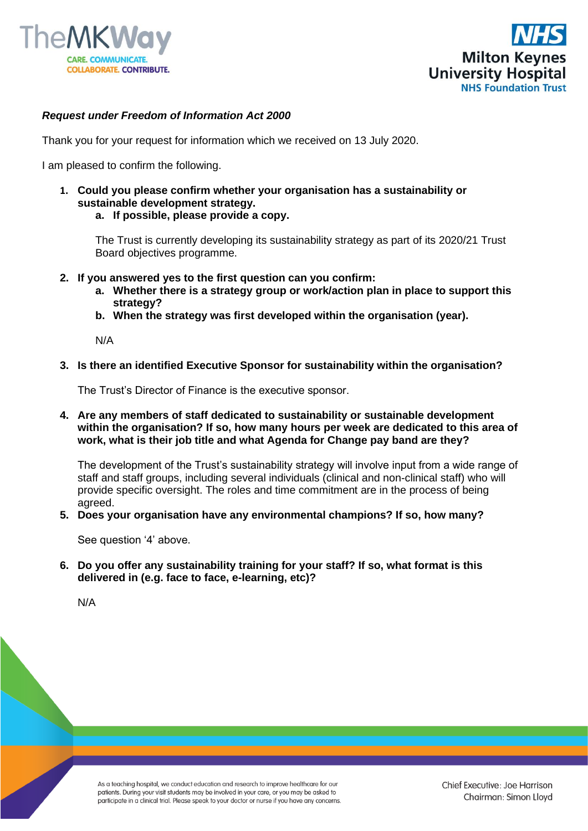



## *Request under Freedom of Information Act 2000*

Thank you for your request for information which we received on 13 July 2020.

I am pleased to confirm the following.

- **1. Could you please confirm whether your organisation has a sustainability or sustainable development strategy.**
	- **a. If possible, please provide a copy.**

The Trust is currently developing its sustainability strategy as part of its 2020/21 Trust Board objectives programme.

- **2. If you answered yes to the first question can you confirm:**
	- **a. Whether there is a strategy group or work/action plan in place to support this strategy?**
	- **b. When the strategy was first developed within the organisation (year).**

N/A

**3. Is there an identified Executive Sponsor for sustainability within the organisation?**

The Trust's Director of Finance is the executive sponsor.

**4. Are any members of staff dedicated to sustainability or sustainable development within the organisation? If so, how many hours per week are dedicated to this area of work, what is their job title and what Agenda for Change pay band are they?**

The development of the Trust's sustainability strategy will involve input from a wide range of staff and staff groups, including several individuals (clinical and non-clinical staff) who will provide specific oversight. The roles and time commitment are in the process of being agreed.

**5. Does your organisation have any environmental champions? If so, how many?**

See question '4' above.

**6. Do you offer any sustainability training for your staff? If so, what format is this delivered in (e.g. face to face, e-learning, etc)?** 

N/A

As a teaching hospital, we conduct education and research to improve healthcare for our patients. During your visit students may be involved in your care, or you may be asked to participate in a clinical trial. Please speak to your doctor or nurse if you have any concerns.